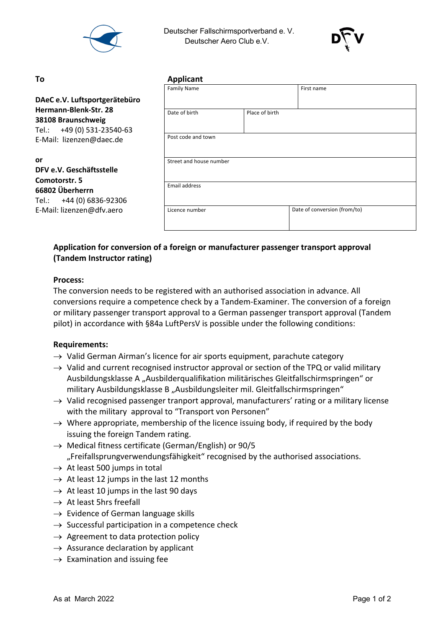

 Deutscher Fallschirmsportverband e. V. Deutscher Aero Club e.V.



#### **or**

## **DFV e.V. Geschäftsstelle Comotorstr. 5 66802 Überherrn** Tel.: +44 (0) 6836-92306 E-Mail: lizenzen@dfv.aero

| To                                                                        | <b>Applicant</b>        |                |                              |  |
|---------------------------------------------------------------------------|-------------------------|----------------|------------------------------|--|
|                                                                           | <b>Family Name</b>      |                | First name                   |  |
| DAeC e.V. Luftsportgerätebüro                                             |                         |                |                              |  |
| Hermann-Blenk-Str. 28<br>38108 Braunschweig<br>Tel.: +49 (0) 531-23540-63 | Date of birth           | Place of birth |                              |  |
| E-Mail: lizenzen@daec.de                                                  | Post code and town      |                |                              |  |
| or<br>DFV e.V. Geschäftsstelle<br>Comotorstr. 5                           | Street and house number |                |                              |  |
| 66802 Überherrn<br>Tel.: +44 (0) 6836-92306                               | <b>Email address</b>    |                |                              |  |
| E-Mail: lizenzen@dfv.aero                                                 | Licence number          |                | Date of conversion (from/to) |  |

# **Application for conversion of a foreign or manufacturer passenger transport approval (Tandem Instructor rating)**

#### **Process:**

The conversion needs to be registered with an authorised association in advance. All conversions require a competence check by a Tandem-Examiner. The conversion of a foreign or military passenger transport approval to a German passenger transport approval (Tandem pilot) in accordance with §84a LuftPersV is possible under the following conditions:

#### **Requirements:**

- $\rightarrow$  Valid German Airman's licence for air sports equipment, parachute category
- $\rightarrow$  Valid and current recognised instructor approval or section of the TPQ or valid military Ausbildungsklasse A "Ausbilderqualifikation militärisches Gleitfallschirmspringen" or military Ausbildungsklasse B "Ausbildungsleiter mil. Gleitfallschirmspringen"
- $\rightarrow$  Valid recognised passenger tranport approval, manufacturers' rating or a military license with the military approval to "Transport von Personen"
- $\rightarrow$  Where appropriate, membership of the licence issuing body, if required by the body issuing the foreign Tandem rating.
- $\rightarrow$  Medical fitness certificate (German/English) or 90/5 "Freifallsprungverwendungsfähigkeit" recognised by the authorised associations.
- $\rightarrow$  At least 500 jumps in total
- $\rightarrow$  At least 12 jumps in the last 12 months
- $\rightarrow$  At least 10 jumps in the last 90 days
- $\rightarrow$  At least 5hrs freefall
- $\rightarrow$  Evidence of German language skills
- $\rightarrow$  Successful participation in a competence check
- $\rightarrow$  Agreement to data protection policy
- $\rightarrow$  Assurance declaration by applicant
- $\rightarrow$  Examination and issuing fee